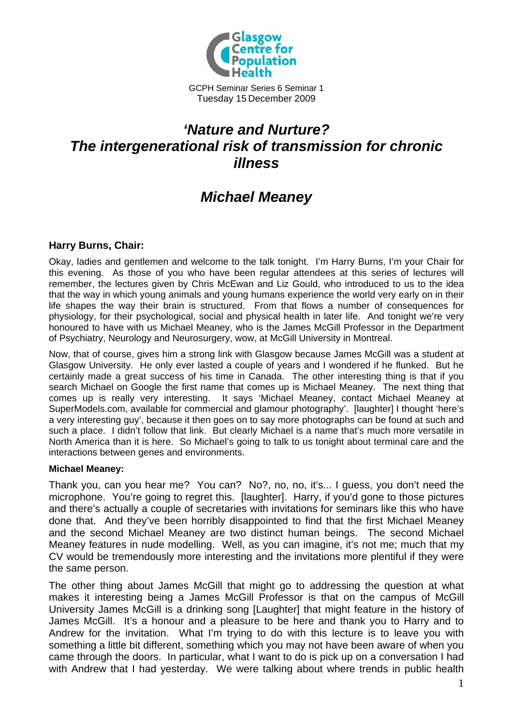

GCPH Seminar Series 6 Seminar 1 Tuesday 15 December 2009

## *'Nature and Nurture? The intergenerational risk of transmission for chronic illness*

## *Michael Meaney*

## **Harry Burns, Chair:**

Okay, ladies and gentlemen and welcome to the talk tonight. I'm Harry Burns, I'm your Chair for this evening. As those of you who have been regular attendees at this series of lectures will remember, the lectures given by Chris McEwan and Liz Gould, who introduced to us to the idea that the way in which young animals and young humans experience the world very early on in their life shapes the way their brain is structured. From that flows a number of consequences for physiology, for their psychological, social and physical health in later life. And tonight we're very honoured to have with us Michael Meaney, who is the James McGill Professor in the Department of Psychiatry, Neurology and Neurosurgery, wow, at McGill University in Montreal.

Now, that of course, gives him a strong link with Glasgow because James McGill was a student at Glasgow University. He only ever lasted a couple of years and I wondered if he flunked. But he certainly made a great success of his time in Canada. The other interesting thing is that if you search Michael on Google the first name that comes up is Michael Meaney. The next thing that comes up is really very interesting. It says 'Michael Meaney, contact Michael Meaney at SuperModels.com, available for commercial and glamour photography'. [laughter] I thought 'here's a very interesting guy', because it then goes on to say more photographs can be found at such and such a place. I didn't follow that link. But clearly Michael is a name that's much more versatile in North America than it is here. So Michael's going to talk to us tonight about terminal care and the interactions between genes and environments.

## **Michael Meaney:**

Thank you, can you hear me? You can? No?, no, no, it's... I guess, you don't need the microphone. You're going to regret this. [laughter]. Harry, if you'd gone to those pictures and there's actually a couple of secretaries with invitations for seminars like this who have done that. And they've been horribly disappointed to find that the first Michael Meaney and the second Michael Meaney are two distinct human beings. The second Michael Meaney features in nude modelling. Well, as you can imagine, it's not me; much that my CV would be tremendously more interesting and the invitations more plentiful if they were the same person.

The other thing about James McGill that might go to addressing the question at what makes it interesting being a James McGill Professor is that on the campus of McGill University James McGill is a drinking song [Laughter] that might feature in the history of James McGill. It's a honour and a pleasure to be here and thank you to Harry and to Andrew for the invitation. What I'm trying to do with this lecture is to leave you with something a little bit different, something which you may not have been aware of when you came through the doors. In particular, what I want to do is pick up on a conversation I had with Andrew that I had yesterday. We were talking about where trends in public health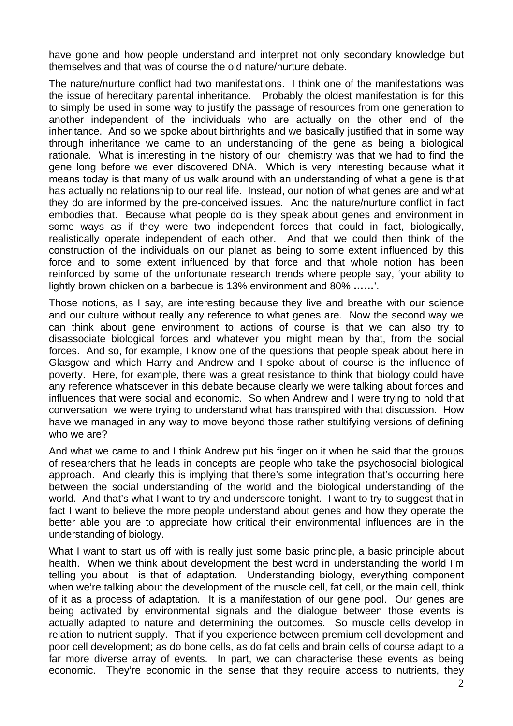have gone and how people understand and interpret not only secondary knowledge but themselves and that was of course the old nature/nurture debate.

The nature/nurture conflict had two manifestations. I think one of the manifestations was the issue of hereditary parental inheritance. Probably the oldest manifestation is for this to simply be used in some way to justify the passage of resources from one generation to another independent of the individuals who are actually on the other end of the inheritance. And so we spoke about birthrights and we basically justified that in some way through inheritance we came to an understanding of the gene as being a biological rationale. What is interesting in the history of our chemistry was that we had to find the gene long before we ever discovered DNA. Which is very interesting because what it means today is that many of us walk around with an understanding of what a gene is that has actually no relationship to our real life. Instead, our notion of what genes are and what they do are informed by the pre-conceived issues. And the nature/nurture conflict in fact embodies that. Because what people do is they speak about genes and environment in some ways as if they were two independent forces that could in fact, biologically, realistically operate independent of each other. And that we could then think of the construction of the individuals on our planet as being to some extent influenced by this force and to some extent influenced by that force and that whole notion has been reinforced by some of the unfortunate research trends where people say, 'your ability to lightly brown chicken on a barbecue is 13% environment and 80% **……**'.

Those notions, as I say, are interesting because they live and breathe with our science and our culture without really any reference to what genes are. Now the second way we can think about gene environment to actions of course is that we can also try to disassociate biological forces and whatever you might mean by that, from the social forces. And so, for example, I know one of the questions that people speak about here in Glasgow and which Harry and Andrew and I spoke about of course is the influence of poverty. Here, for example, there was a great resistance to think that biology could have any reference whatsoever in this debate because clearly we were talking about forces and influences that were social and economic. So when Andrew and I were trying to hold that conversation we were trying to understand what has transpired with that discussion. How have we managed in any way to move beyond those rather stultifying versions of defining who we are?

And what we came to and I think Andrew put his finger on it when he said that the groups of researchers that he leads in concepts are people who take the psychosocial biological approach. And clearly this is implying that there's some integration that's occurring here between the social understanding of the world and the biological understanding of the world. And that's what I want to try and underscore tonight. I want to try to suggest that in fact I want to believe the more people understand about genes and how they operate the better able you are to appreciate how critical their environmental influences are in the understanding of biology.

What I want to start us off with is really just some basic principle, a basic principle about health. When we think about development the best word in understanding the world I'm telling you about is that of adaptation. Understanding biology, everything component when we're talking about the development of the muscle cell, fat cell, or the main cell, think of it as a process of adaptation. It is a manifestation of our gene pool. Our genes are being activated by environmental signals and the dialogue between those events is actually adapted to nature and determining the outcomes. So muscle cells develop in relation to nutrient supply. That if you experience between premium cell development and poor cell development; as do bone cells, as do fat cells and brain cells of course adapt to a far more diverse array of events. In part, we can characterise these events as being economic. They're economic in the sense that they require access to nutrients, they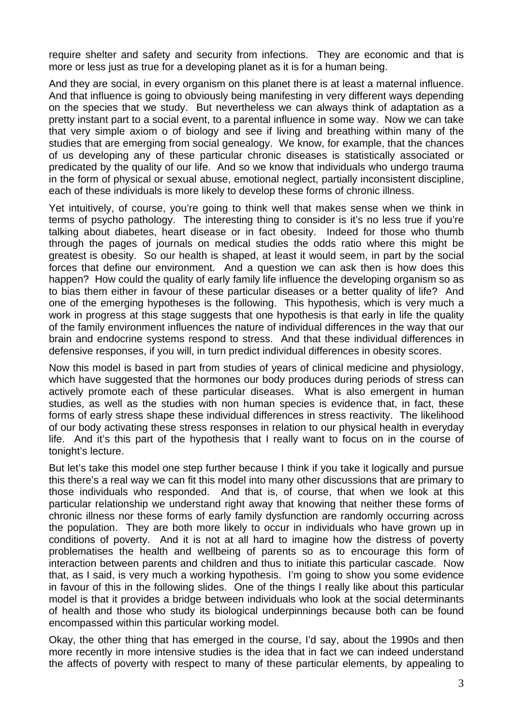require shelter and safety and security from infections. They are economic and that is more or less just as true for a developing planet as it is for a human being.

And they are social, in every organism on this planet there is at least a maternal influence. And that influence is going to obviously being manifesting in very different ways depending on the species that we study. But nevertheless we can always think of adaptation as a pretty instant part to a social event, to a parental influence in some way. Now we can take that very simple axiom o of biology and see if living and breathing within many of the studies that are emerging from social genealogy. We know, for example, that the chances of us developing any of these particular chronic diseases is statistically associated or predicated by the quality of our life. And so we know that individuals who undergo trauma in the form of physical or sexual abuse, emotional neglect, partially inconsistent discipline, each of these individuals is more likely to develop these forms of chronic illness.

Yet intuitively, of course, you're going to think well that makes sense when we think in terms of psycho pathology. The interesting thing to consider is it's no less true if you're talking about diabetes, heart disease or in fact obesity. Indeed for those who thumb through the pages of journals on medical studies the odds ratio where this might be greatest is obesity. So our health is shaped, at least it would seem, in part by the social forces that define our environment. And a question we can ask then is how does this happen? How could the quality of early family life influence the developing organism so as to bias them either in favour of these particular diseases or a better quality of life? And one of the emerging hypotheses is the following. This hypothesis, which is very much a work in progress at this stage suggests that one hypothesis is that early in life the quality of the family environment influences the nature of individual differences in the way that our brain and endocrine systems respond to stress. And that these individual differences in defensive responses, if you will, in turn predict individual differences in obesity scores.

Now this model is based in part from studies of years of clinical medicine and physiology, which have suggested that the hormones our body produces during periods of stress can actively promote each of these particular diseases. What is also emergent in human studies, as well as the studies with non human species is evidence that, in fact, these forms of early stress shape these individual differences in stress reactivity. The likelihood of our body activating these stress responses in relation to our physical health in everyday life. And it's this part of the hypothesis that I really want to focus on in the course of tonight's lecture.

But let's take this model one step further because I think if you take it logically and pursue this there's a real way we can fit this model into many other discussions that are primary to those individuals who responded. And that is, of course, that when we look at this particular relationship we understand right away that knowing that neither these forms of chronic illness nor these forms of early family dysfunction are randomly occurring across the population. They are both more likely to occur in individuals who have grown up in conditions of poverty. And it is not at all hard to imagine how the distress of poverty problematises the health and wellbeing of parents so as to encourage this form of interaction between parents and children and thus to initiate this particular cascade. Now that, as I said, is very much a working hypothesis. I'm going to show you some evidence in favour of this in the following slides. One of the things I really like about this particular model is that it provides a bridge between individuals who look at the social determinants of health and those who study its biological underpinnings because both can be found encompassed within this particular working model.

Okay, the other thing that has emerged in the course, I'd say, about the 1990s and then more recently in more intensive studies is the idea that in fact we can indeed understand the affects of poverty with respect to many of these particular elements, by appealing to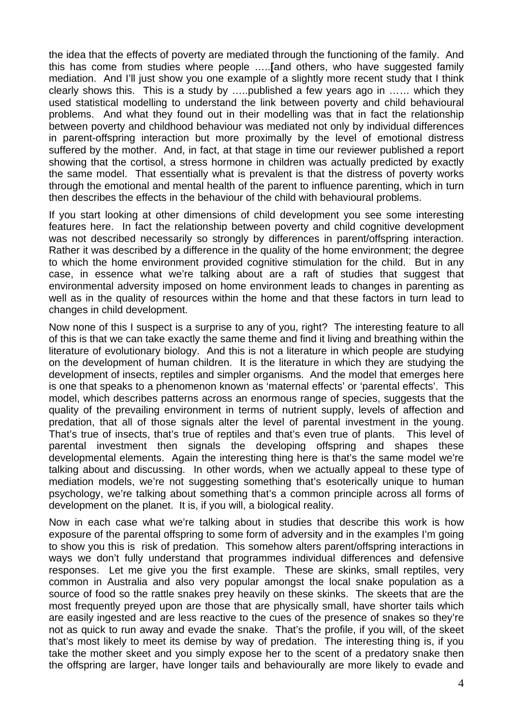the idea that the effects of poverty are mediated through the functioning of the family. And this has come from studies where people …..**[**and others, who have suggested family mediation. And I'll just show you one example of a slightly more recent study that I think clearly shows this. This is a study by …..published a few years ago in …… which they used statistical modelling to understand the link between poverty and child behavioural problems. And what they found out in their modelling was that in fact the relationship between poverty and childhood behaviour was mediated not only by individual differences in parent-offspring interaction but more proximally by the level of emotional distress suffered by the mother. And, in fact, at that stage in time our reviewer published a report showing that the cortisol, a stress hormone in children was actually predicted by exactly the same model. That essentially what is prevalent is that the distress of poverty works through the emotional and mental health of the parent to influence parenting, which in turn then describes the effects in the behaviour of the child with behavioural problems.

If you start looking at other dimensions of child development you see some interesting features here. In fact the relationship between poverty and child cognitive development was not described necessarily so strongly by differences in parent/offspring interaction. Rather it was described by a difference in the quality of the home environment; the degree to which the home environment provided cognitive stimulation for the child. But in any case, in essence what we're talking about are a raft of studies that suggest that environmental adversity imposed on home environment leads to changes in parenting as well as in the quality of resources within the home and that these factors in turn lead to changes in child development.

Now none of this I suspect is a surprise to any of you, right? The interesting feature to all of this is that we can take exactly the same theme and find it living and breathing within the literature of evolutionary biology. And this is not a literature in which people are studying on the development of human children. It is the literature in which they are studying the development of insects, reptiles and simpler organisms. And the model that emerges here is one that speaks to a phenomenon known as 'maternal effects' or 'parental effects'. This model, which describes patterns across an enormous range of species, suggests that the quality of the prevailing environment in terms of nutrient supply, levels of affection and predation, that all of those signals alter the level of parental investment in the young. That's true of insects, that's true of reptiles and that's even true of plants. This level of parental investment then signals the developing offspring and shapes these developmental elements. Again the interesting thing here is that's the same model we're talking about and discussing. In other words, when we actually appeal to these type of mediation models, we're not suggesting something that's esoterically unique to human psychology, we're talking about something that's a common principle across all forms of development on the planet. It is, if you will, a biological reality.

Now in each case what we're talking about in studies that describe this work is how exposure of the parental offspring to some form of adversity and in the examples I'm going to show you this is risk of predation. This somehow alters parent/offspring interactions in ways we don't fully understand that programmes individual differences and defensive responses. Let me give you the first example. These are skinks, small reptiles, very common in Australia and also very popular amongst the local snake population as a source of food so the rattle snakes prey heavily on these skinks. The skeets that are the most frequently preyed upon are those that are physically small, have shorter tails which are easily ingested and are less reactive to the cues of the presence of snakes so they're not as quick to run away and evade the snake. That's the profile, if you will, of the skeet that's most likely to meet its demise by way of predation. The interesting thing is, if you take the mother skeet and you simply expose her to the scent of a predatory snake then the offspring are larger, have longer tails and behaviourally are more likely to evade and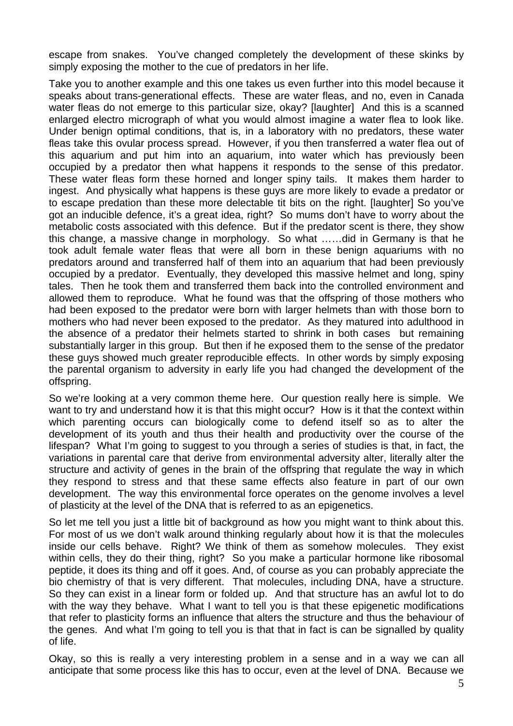escape from snakes. You've changed completely the development of these skinks by simply exposing the mother to the cue of predators in her life.

Take you to another example and this one takes us even further into this model because it speaks about trans-generational effects. These are water fleas, and no, even in Canada water fleas do not emerge to this particular size, okay? [laughter] And this is a scanned enlarged electro micrograph of what you would almost imagine a water flea to look like. Under benign optimal conditions, that is, in a laboratory with no predators, these water fleas take this ovular process spread. However, if you then transferred a water flea out of this aquarium and put him into an aquarium, into water which has previously been occupied by a predator then what happens it responds to the sense of this predator. These water fleas form these horned and longer spiny tails. It makes them harder to ingest. And physically what happens is these guys are more likely to evade a predator or to escape predation than these more delectable tit bits on the right. [laughter] So you've got an inducible defence, it's a great idea, right? So mums don't have to worry about the metabolic costs associated with this defence. But if the predator scent is there, they show this change, a massive change in morphology. So what ……did in Germany is that he took adult female water fleas that were all born in these benign aquariums with no predators around and transferred half of them into an aquarium that had been previously occupied by a predator. Eventually, they developed this massive helmet and long, spiny tales. Then he took them and transferred them back into the controlled environment and allowed them to reproduce. What he found was that the offspring of those mothers who had been exposed to the predator were born with larger helmets than with those born to mothers who had never been exposed to the predator. As they matured into adulthood in the absence of a predator their helmets started to shrink in both cases but remaining substantially larger in this group. But then if he exposed them to the sense of the predator these guys showed much greater reproducible effects. In other words by simply exposing the parental organism to adversity in early life you had changed the development of the offspring.

So we're looking at a very common theme here. Our question really here is simple. We want to try and understand how it is that this might occur? How is it that the context within which parenting occurs can biologically come to defend itself so as to alter the development of its youth and thus their health and productivity over the course of the lifespan? What I'm going to suggest to you through a series of studies is that, in fact, the variations in parental care that derive from environmental adversity alter, literally alter the structure and activity of genes in the brain of the offspring that regulate the way in which they respond to stress and that these same effects also feature in part of our own development. The way this environmental force operates on the genome involves a level of plasticity at the level of the DNA that is referred to as an epigenetics.

So let me tell you just a little bit of background as how you might want to think about this. For most of us we don't walk around thinking regularly about how it is that the molecules inside our cells behave. Right? We think of them as somehow molecules. They exist within cells, they do their thing, right? So you make a particular hormone like ribosomal peptide, it does its thing and off it goes. And, of course as you can probably appreciate the bio chemistry of that is very different. That molecules, including DNA, have a structure. So they can exist in a linear form or folded up. And that structure has an awful lot to do with the way they behave. What I want to tell you is that these epigenetic modifications that refer to plasticity forms an influence that alters the structure and thus the behaviour of the genes. And what I'm going to tell you is that that in fact is can be signalled by quality of life.

Okay, so this is really a very interesting problem in a sense and in a way we can all anticipate that some process like this has to occur, even at the level of DNA. Because we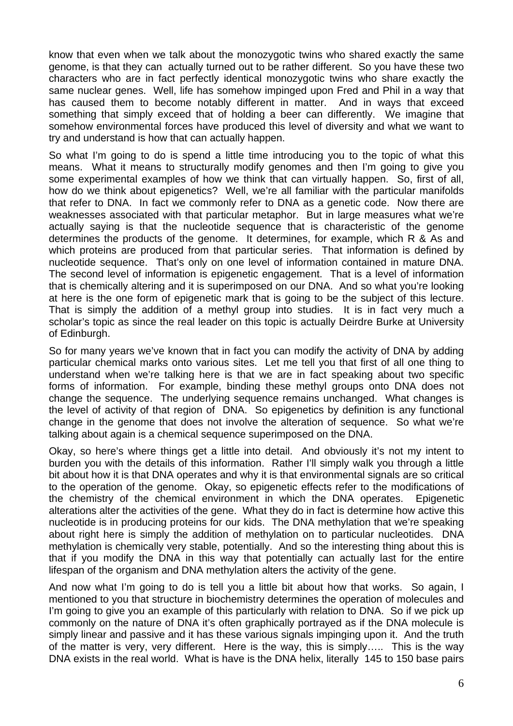know that even when we talk about the monozygotic twins who shared exactly the same genome, is that they can actually turned out to be rather different. So you have these two characters who are in fact perfectly identical monozygotic twins who share exactly the same nuclear genes. Well, life has somehow impinged upon Fred and Phil in a way that has caused them to become notably different in matter. And in ways that exceed something that simply exceed that of holding a beer can differently. We imagine that somehow environmental forces have produced this level of diversity and what we want to try and understand is how that can actually happen.

So what I'm going to do is spend a little time introducing you to the topic of what this means. What it means to structurally modify genomes and then I'm going to give you some experimental examples of how we think that can virtually happen. So, first of all, how do we think about epigenetics? Well, we're all familiar with the particular manifolds that refer to DNA. In fact we commonly refer to DNA as a genetic code. Now there are weaknesses associated with that particular metaphor. But in large measures what we're actually saying is that the nucleotide sequence that is characteristic of the genome determines the products of the genome. It determines, for example, which R & As and which proteins are produced from that particular series. That information is defined by nucleotide sequence. That's only on one level of information contained in mature DNA. The second level of information is epigenetic engagement. That is a level of information that is chemically altering and it is superimposed on our DNA. And so what you're looking at here is the one form of epigenetic mark that is going to be the subject of this lecture. That is simply the addition of a methyl group into studies. It is in fact very much a scholar's topic as since the real leader on this topic is actually Deirdre Burke at University of Edinburgh.

So for many years we've known that in fact you can modify the activity of DNA by adding particular chemical marks onto various sites. Let me tell you that first of all one thing to understand when we're talking here is that we are in fact speaking about two specific forms of information. For example, binding these methyl groups onto DNA does not change the sequence. The underlying sequence remains unchanged. What changes is the level of activity of that region of DNA. So epigenetics by definition is any functional change in the genome that does not involve the alteration of sequence. So what we're talking about again is a chemical sequence superimposed on the DNA.

Okay, so here's where things get a little into detail. And obviously it's not my intent to burden you with the details of this information. Rather I'll simply walk you through a little bit about how it is that DNA operates and why it is that environmental signals are so critical to the operation of the genome. Okay, so epigenetic effects refer to the modifications of the chemistry of the chemical environment in which the DNA operates. Epigenetic alterations alter the activities of the gene. What they do in fact is determine how active this nucleotide is in producing proteins for our kids. The DNA methylation that we're speaking about right here is simply the addition of methylation on to particular nucleotides. DNA methylation is chemically very stable, potentially. And so the interesting thing about this is that if you modify the DNA in this way that potentially can actually last for the entire lifespan of the organism and DNA methylation alters the activity of the gene.

And now what I'm going to do is tell you a little bit about how that works. So again, I mentioned to you that structure in biochemistry determines the operation of molecules and I'm going to give you an example of this particularly with relation to DNA. So if we pick up commonly on the nature of DNA it's often graphically portrayed as if the DNA molecule is simply linear and passive and it has these various signals impinging upon it. And the truth of the matter is very, very different. Here is the way, this is simply….. This is the way DNA exists in the real world. What is have is the DNA helix, literally 145 to 150 base pairs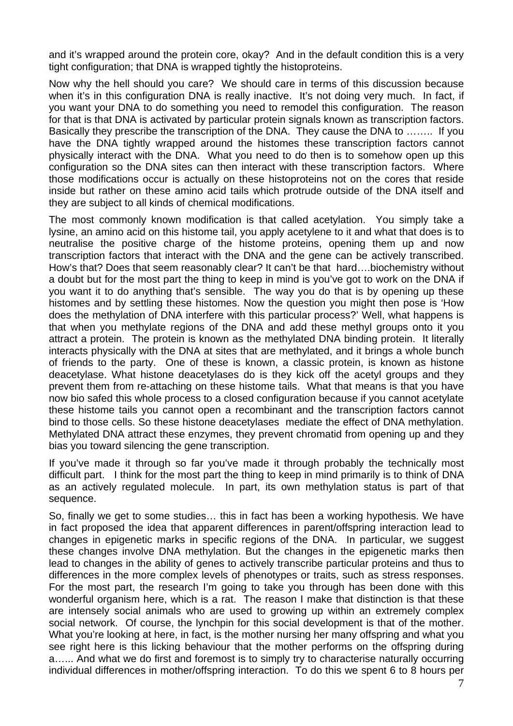and it's wrapped around the protein core, okay? And in the default condition this is a very tight configuration; that DNA is wrapped tightly the histoproteins.

Now why the hell should you care? We should care in terms of this discussion because when it's in this configuration DNA is really inactive. It's not doing very much. In fact, if you want your DNA to do something you need to remodel this configuration. The reason for that is that DNA is activated by particular protein signals known as transcription factors. Basically they prescribe the transcription of the DNA. They cause the DNA to …….. If you have the DNA tightly wrapped around the histomes these transcription factors cannot physically interact with the DNA. What you need to do then is to somehow open up this configuration so the DNA sites can then interact with these transcription factors. Where those modifications occur is actually on these histoproteins not on the cores that reside inside but rather on these amino acid tails which protrude outside of the DNA itself and they are subject to all kinds of chemical modifications.

The most commonly known modification is that called acetylation. You simply take a lysine, an amino acid on this histome tail, you apply acetylene to it and what that does is to neutralise the positive charge of the histome proteins, opening them up and now transcription factors that interact with the DNA and the gene can be actively transcribed. How's that? Does that seem reasonably clear? It can't be that hard….biochemistry without a doubt but for the most part the thing to keep in mind is you've got to work on the DNA if you want it to do anything that's sensible. The way you do that is by opening up these histomes and by settling these histomes. Now the question you might then pose is 'How does the methylation of DNA interfere with this particular process?' Well, what happens is that when you methylate regions of the DNA and add these methyl groups onto it you attract a protein. The protein is known as the methylated DNA binding protein. It literally interacts physically with the DNA at sites that are methylated, and it brings a whole bunch of friends to the party. One of these is known, a classic protein, is known as histone deacetylase. What histone deacetylases do is they kick off the acetyl groups and they prevent them from re-attaching on these histome tails. What that means is that you have now bio safed this whole process to a closed configuration because if you cannot acetylate these histome tails you cannot open a recombinant and the transcription factors cannot bind to those cells. So these histone deacetylases mediate the effect of DNA methylation. Methylated DNA attract these enzymes, they prevent chromatid from opening up and they bias you toward silencing the gene transcription.

If you've made it through so far you've made it through probably the technically most difficult part. I think for the most part the thing to keep in mind primarily is to think of DNA as an actively regulated molecule. In part, its own methylation status is part of that sequence.

So, finally we get to some studies… this in fact has been a working hypothesis. We have in fact proposed the idea that apparent differences in parent/offspring interaction lead to changes in epigenetic marks in specific regions of the DNA. In particular, we suggest these changes involve DNA methylation. But the changes in the epigenetic marks then lead to changes in the ability of genes to actively transcribe particular proteins and thus to differences in the more complex levels of phenotypes or traits, such as stress responses. For the most part, the research I'm going to take you through has been done with this wonderful organism here, which is a rat. The reason I make that distinction is that these are intensely social animals who are used to growing up within an extremely complex social network. Of course, the lynchpin for this social development is that of the mother. What you're looking at here, in fact, is the mother nursing her many offspring and what you see right here is this licking behaviour that the mother performs on the offspring during a…... And what we do first and foremost is to simply try to characterise naturally occurring individual differences in mother/offspring interaction. To do this we spent 6 to 8 hours per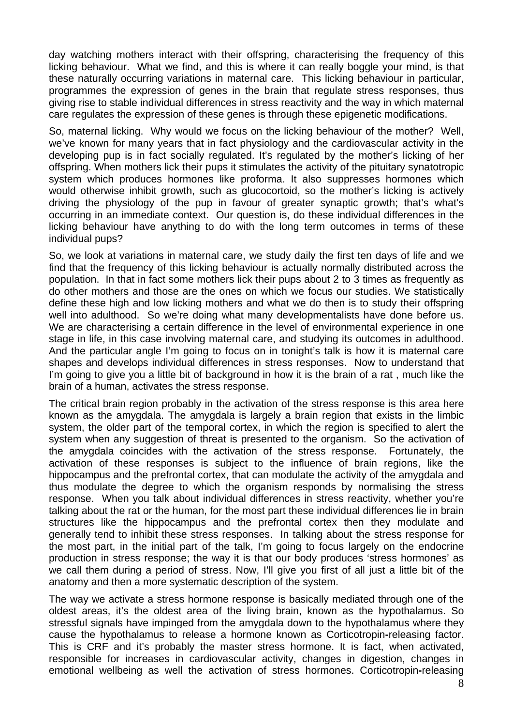day watching mothers interact with their offspring, characterising the frequency of this licking behaviour. What we find, and this is where it can really boggle your mind, is that these naturally occurring variations in maternal care. This licking behaviour in particular, programmes the expression of genes in the brain that regulate stress responses, thus giving rise to stable individual differences in stress reactivity and the way in which maternal care regulates the expression of these genes is through these epigenetic modifications.

So, maternal licking. Why would we focus on the licking behaviour of the mother? Well, we've known for many years that in fact physiology and the cardiovascular activity in the developing pup is in fact socially regulated. It's regulated by the mother's licking of her offspring. When mothers lick their pups it stimulates the activity of the pituitary synatotropic system which produces hormones like proforma. It also suppresses hormones which would otherwise inhibit growth, such as glucocortoid, so the mother's licking is actively driving the physiology of the pup in favour of greater synaptic growth; that's what's occurring in an immediate context. Our question is, do these individual differences in the licking behaviour have anything to do with the long term outcomes in terms of these individual pups?

So, we look at variations in maternal care, we study daily the first ten days of life and we find that the frequency of this licking behaviour is actually normally distributed across the population. In that in fact some mothers lick their pups about 2 to 3 times as frequently as do other mothers and those are the ones on which we focus our studies. We statistically define these high and low licking mothers and what we do then is to study their offspring well into adulthood. So we're doing what many developmentalists have done before us. We are characterising a certain difference in the level of environmental experience in one stage in life, in this case involving maternal care, and studying its outcomes in adulthood. And the particular angle I'm going to focus on in tonight's talk is how it is maternal care shapes and develops individual differences in stress responses. Now to understand that I'm going to give you a little bit of background in how it is the brain of a rat, much like the brain of a human, activates the stress response.

The critical brain region probably in the activation of the stress response is this area here known as the amygdala. The amygdala is largely a brain region that exists in the limbic system, the older part of the temporal cortex, in which the region is specified to alert the system when any suggestion of threat is presented to the organism. So the activation of the amygdala coincides with the activation of the stress response. Fortunately, the activation of these responses is subject to the influence of brain regions, like the hippocampus and the prefrontal cortex, that can modulate the activity of the amygdala and thus modulate the degree to which the organism responds by normalising the stress response. When you talk about individual differences in stress reactivity, whether you're talking about the rat or the human, for the most part these individual differences lie in brain structures like the hippocampus and the prefrontal cortex then they modulate and generally tend to inhibit these stress responses. In talking about the stress response for the most part, in the initial part of the talk, I'm going to focus largely on the endocrine production in stress response; the way it is that our body produces 'stress hormones' as we call them during a period of stress. Now, I'll give you first of all just a little bit of the anatomy and then a more systematic description of the system.

The way we activate a stress hormone response is basically mediated through one of the oldest areas, it's the oldest area of the living brain, known as the hypothalamus. So stressful signals have impinged from the amygdala down to the hypothalamus where they cause the hypothalamus to release a hormone known as Corticotropin**-**releasing factor. This is CRF and it's probably the master stress hormone. It is fact, when activated, responsible for increases in cardiovascular activity, changes in digestion, changes in emotional wellbeing as well the activation of stress hormones. Corticotropin**-**releasing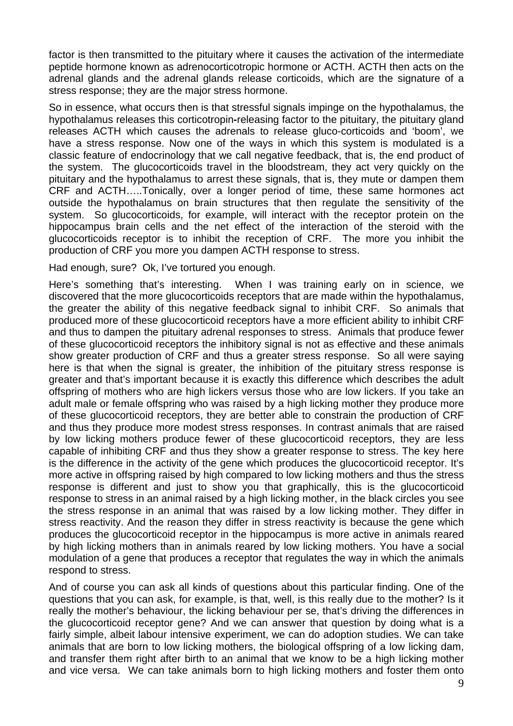factor is then transmitted to the pituitary where it causes the activation of the intermediate peptide hormone known as adrenocorticotropic hormone or ACTH. ACTH then acts on the adrenal glands and the adrenal glands release corticoids, which are the signature of a stress response; they are the major stress hormone.

So in essence, what occurs then is that stressful signals impinge on the hypothalamus, the hypothalamus releases this corticotropin**-**releasing factor to the pituitary, the pituitary gland releases ACTH which causes the adrenals to release gluco-corticoids and 'boom', we have a stress response. Now one of the ways in which this system is modulated is a classic feature of endocrinology that we call negative feedback, that is, the end product of the system. The glucocorticoids travel in the bloodstream, they act very quickly on the pituitary and the hypothalamus to arrest these signals, that is, they mute or dampen them CRF and ACTH…..Tonically, over a longer period of time, these same hormones act outside the hypothalamus on brain structures that then regulate the sensitivity of the system. So glucocorticoids, for example, will interact with the receptor protein on the hippocampus brain cells and the net effect of the interaction of the steroid with the glucocorticoids receptor is to inhibit the reception of CRF. The more you inhibit the production of CRF you more you dampen ACTH response to stress.

Had enough, sure? Ok, I've tortured you enough.

Here's something that's interesting. When I was training early on in science, we discovered that the more glucocorticoids receptors that are made within the hypothalamus, the greater the ability of this negative feedback signal to inhibit CRF. So animals that produced more of these glucocorticoid receptors have a more efficient ability to inhibit CRF and thus to dampen the pituitary adrenal responses to stress. Animals that produce fewer of these glucocorticoid receptors the inhibitory signal is not as effective and these animals show greater production of CRF and thus a greater stress response. So all were saying here is that when the signal is greater, the inhibition of the pituitary stress response is greater and that's important because it is exactly this difference which describes the adult offspring of mothers who are high lickers versus those who are low lickers. If you take an adult male or female offspring who was raised by a high licking mother they produce more of these glucocorticoid receptors, they are better able to constrain the production of CRF and thus they produce more modest stress responses. In contrast animals that are raised by low licking mothers produce fewer of these glucocorticoid receptors, they are less capable of inhibiting CRF and thus they show a greater response to stress. The key here is the difference in the activity of the gene which produces the glucocorticoid receptor. It's more active in offspring raised by high compared to low licking mothers and thus the stress response is different and just to show you that graphically, this is the glucocorticoid response to stress in an animal raised by a high licking mother, in the black circles you see the stress response in an animal that was raised by a low licking mother. They differ in stress reactivity. And the reason they differ in stress reactivity is because the gene which produces the glucocorticoid receptor in the hippocampus is more active in animals reared by high licking mothers than in animals reared by low licking mothers. You have a social modulation of a gene that produces a receptor that regulates the way in which the animals respond to stress.

And of course you can ask all kinds of questions about this particular finding. One of the questions that you can ask, for example, is that, well, is this really due to the mother? Is it really the mother's behaviour, the licking behaviour per se, that's driving the differences in the glucocorticoid receptor gene? And we can answer that question by doing what is a fairly simple, albeit labour intensive experiment, we can do adoption studies. We can take animals that are born to low licking mothers, the biological offspring of a low licking dam, and transfer them right after birth to an animal that we know to be a high licking mother and vice versa. We can take animals born to high licking mothers and foster them onto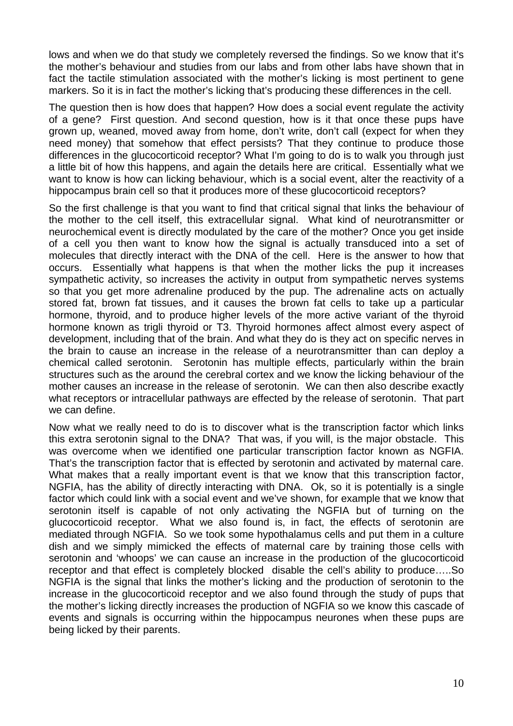lows and when we do that study we completely reversed the findings. So we know that it's the mother's behaviour and studies from our labs and from other labs have shown that in fact the tactile stimulation associated with the mother's licking is most pertinent to gene markers. So it is in fact the mother's licking that's producing these differences in the cell.

The question then is how does that happen? How does a social event regulate the activity of a gene? First question. And second question, how is it that once these pups have grown up, weaned, moved away from home, don't write, don't call (expect for when they need money) that somehow that effect persists? That they continue to produce those differences in the glucocorticoid receptor? What I'm going to do is to walk you through just a little bit of how this happens, and again the details here are critical. Essentially what we want to know is how can licking behaviour, which is a social event, alter the reactivity of a hippocampus brain cell so that it produces more of these glucocorticoid receptors?

So the first challenge is that you want to find that critical signal that links the behaviour of the mother to the cell itself, this extracellular signal. What kind of neurotransmitter or neurochemical event is directly modulated by the care of the mother? Once you get inside of a cell you then want to know how the signal is actually transduced into a set of molecules that directly interact with the DNA of the cell. Here is the answer to how that occurs. Essentially what happens is that when the mother licks the pup it increases sympathetic activity, so increases the activity in output from sympathetic nerves systems so that you get more adrenaline produced by the pup. The adrenaline acts on actually stored fat, brown fat tissues, and it causes the brown fat cells to take up a particular hormone, thyroid, and to produce higher levels of the more active variant of the thyroid hormone known as trigli thyroid or T3. Thyroid hormones affect almost every aspect of development, including that of the brain. And what they do is they act on specific nerves in the brain to cause an increase in the release of a neurotransmitter than can deploy a chemical called serotonin. Serotonin has multiple effects, particularly within the brain structures such as the around the cerebral cortex and we know the licking behaviour of the mother causes an increase in the release of serotonin. We can then also describe exactly what receptors or intracellular pathways are effected by the release of serotonin. That part we can define.

Now what we really need to do is to discover what is the transcription factor which links this extra serotonin signal to the DNA? That was, if you will, is the major obstacle. This was overcome when we identified one particular transcription factor known as NGFIA. That's the transcription factor that is effected by serotonin and activated by maternal care. What makes that a really important event is that we know that this transcription factor, NGFIA, has the ability of directly interacting with DNA. Ok, so it is potentially is a single factor which could link with a social event and we've shown, for example that we know that serotonin itself is capable of not only activating the NGFIA but of turning on the glucocorticoid receptor. What we also found is, in fact, the effects of serotonin are mediated through NGFIA. So we took some hypothalamus cells and put them in a culture dish and we simply mimicked the effects of maternal care by training those cells with serotonin and 'whoops' we can cause an increase in the production of the glucocorticoid receptor and that effect is completely blocked disable the cell's ability to produce…..So NGFIA is the signal that links the mother's licking and the production of serotonin to the increase in the glucocorticoid receptor and we also found through the study of pups that the mother's licking directly increases the production of NGFIA so we know this cascade of events and signals is occurring within the hippocampus neurones when these pups are being licked by their parents.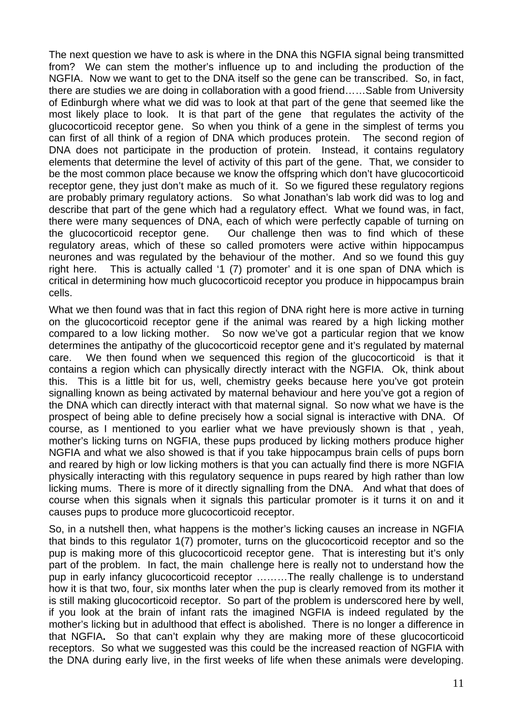The next question we have to ask is where in the DNA this NGFIA signal being transmitted from? We can stem the mother's influence up to and including the production of the NGFIA. Now we want to get to the DNA itself so the gene can be transcribed. So, in fact, there are studies we are doing in collaboration with a good friend……Sable from University of Edinburgh where what we did was to look at that part of the gene that seemed like the most likely place to look. It is that part of the gene that regulates the activity of the glucocorticoid receptor gene. So when you think of a gene in the simplest of terms you can first of all think of a region of DNA which produces protein. The second region of DNA does not participate in the production of protein. Instead, it contains regulatory elements that determine the level of activity of this part of the gene. That, we consider to be the most common place because we know the offspring which don't have glucocorticoid receptor gene, they just don't make as much of it. So we figured these regulatory regions are probably primary regulatory actions. So what Jonathan's lab work did was to log and describe that part of the gene which had a regulatory effect. What we found was, in fact, there were many sequences of DNA, each of which were perfectly capable of turning on the glucocorticoid receptor gene. Our challenge then was to find which of these regulatory areas, which of these so called promoters were active within hippocampus neurones and was regulated by the behaviour of the mother. And so we found this guy right here. This is actually called '1 (7) promoter' and it is one span of DNA which is critical in determining how much glucocorticoid receptor you produce in hippocampus brain cells.

What we then found was that in fact this region of DNA right here is more active in turning on the glucocorticoid receptor gene if the animal was reared by a high licking mother compared to a low licking mother. So now we've got a particular region that we know determines the antipathy of the glucocorticoid receptor gene and it's regulated by maternal care. We then found when we sequenced this region of the glucocorticoid is that it contains a region which can physically directly interact with the NGFIA. Ok, think about this. This is a little bit for us, well, chemistry geeks because here you've got protein signalling known as being activated by maternal behaviour and here you've got a region of the DNA which can directly interact with that maternal signal. So now what we have is the prospect of being able to define precisely how a social signal is interactive with DNA. Of course, as I mentioned to you earlier what we have previously shown is that , yeah, mother's licking turns on NGFIA, these pups produced by licking mothers produce higher NGFIA and what we also showed is that if you take hippocampus brain cells of pups born and reared by high or low licking mothers is that you can actually find there is more NGFIA physically interacting with this regulatory sequence in pups reared by high rather than low licking mums. There is more of it directly signalling from the DNA. And what that does of course when this signals when it signals this particular promoter is it turns it on and it causes pups to produce more glucocorticoid receptor.

So, in a nutshell then, what happens is the mother's licking causes an increase in NGFIA that binds to this regulator 1(7) promoter, turns on the glucocorticoid receptor and so the pup is making more of this glucocorticoid receptor gene. That is interesting but it's only part of the problem. In fact, the main challenge here is really not to understand how the pup in early infancy glucocorticoid receptor ………The really challenge is to understand how it is that two, four, six months later when the pup is clearly removed from its mother it is still making glucocorticoid receptor. So part of the problem is underscored here by well, if you look at the brain of infant rats the imagined NGFIA is indeed regulated by the mother's licking but in adulthood that effect is abolished. There is no longer a difference in that NGFIA**.** So that can't explain why they are making more of these glucocorticoid receptors. So what we suggested was this could be the increased reaction of NGFIA with the DNA during early live, in the first weeks of life when these animals were developing.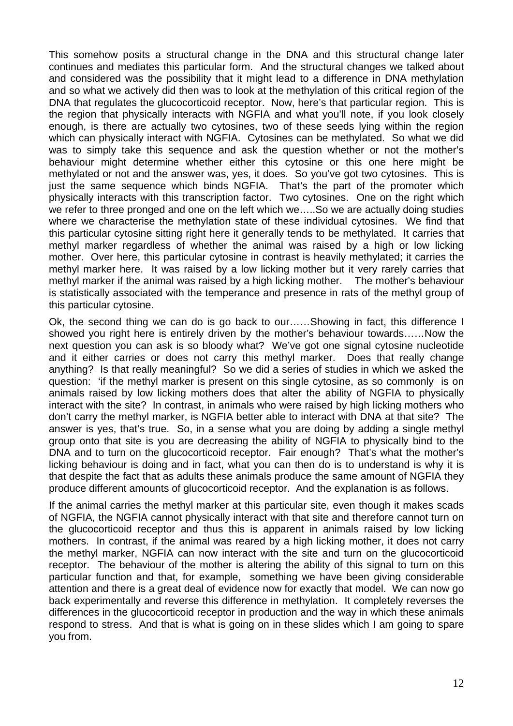This somehow posits a structural change in the DNA and this structural change later continues and mediates this particular form. And the structural changes we talked about and considered was the possibility that it might lead to a difference in DNA methylation and so what we actively did then was to look at the methylation of this critical region of the DNA that regulates the glucocorticoid receptor. Now, here's that particular region. This is the region that physically interacts with NGFIA and what you'll note, if you look closely enough, is there are actually two cytosines, two of these seeds lying within the region which can physically interact with NGFIA. Cytosines can be methylated. So what we did was to simply take this sequence and ask the question whether or not the mother's behaviour might determine whether either this cytosine or this one here might be methylated or not and the answer was, yes, it does. So you've got two cytosines. This is just the same sequence which binds NGFIA. That's the part of the promoter which physically interacts with this transcription factor. Two cytosines. One on the right which we refer to three pronged and one on the left which we…..So we are actually doing studies where we characterise the methylation state of these individual cytosines. We find that this particular cytosine sitting right here it generally tends to be methylated. It carries that methyl marker regardless of whether the animal was raised by a high or low licking mother. Over here, this particular cytosine in contrast is heavily methylated; it carries the methyl marker here. It was raised by a low licking mother but it very rarely carries that methyl marker if the animal was raised by a high licking mother. The mother's behaviour is statistically associated with the temperance and presence in rats of the methyl group of this particular cytosine.

Ok, the second thing we can do is go back to our……Showing in fact, this difference I showed you right here is entirely driven by the mother's behaviour towards……Now the next question you can ask is so bloody what? We've got one signal cytosine nucleotide and it either carries or does not carry this methyl marker. Does that really change anything? Is that really meaningful? So we did a series of studies in which we asked the question: 'if the methyl marker is present on this single cytosine, as so commonly is on animals raised by low licking mothers does that alter the ability of NGFIA to physically interact with the site? In contrast, in animals who were raised by high licking mothers who don't carry the methyl marker, is NGFIA better able to interact with DNA at that site? The answer is yes, that's true. So, in a sense what you are doing by adding a single methyl group onto that site is you are decreasing the ability of NGFIA to physically bind to the DNA and to turn on the glucocorticoid receptor. Fair enough? That's what the mother's licking behaviour is doing and in fact, what you can then do is to understand is why it is that despite the fact that as adults these animals produce the same amount of NGFIA they produce different amounts of glucocorticoid receptor. And the explanation is as follows.

If the animal carries the methyl marker at this particular site, even though it makes scads of NGFIA, the NGFIA cannot physically interact with that site and therefore cannot turn on the glucocorticoid receptor and thus this is apparent in animals raised by low licking mothers. In contrast, if the animal was reared by a high licking mother, it does not carry the methyl marker, NGFIA can now interact with the site and turn on the glucocorticoid receptor. The behaviour of the mother is altering the ability of this signal to turn on this particular function and that, for example, something we have been giving considerable attention and there is a great deal of evidence now for exactly that model. We can now go back experimentally and reverse this difference in methylation. It completely reverses the differences in the glucocorticoid receptor in production and the way in which these animals respond to stress. And that is what is going on in these slides which I am going to spare you from.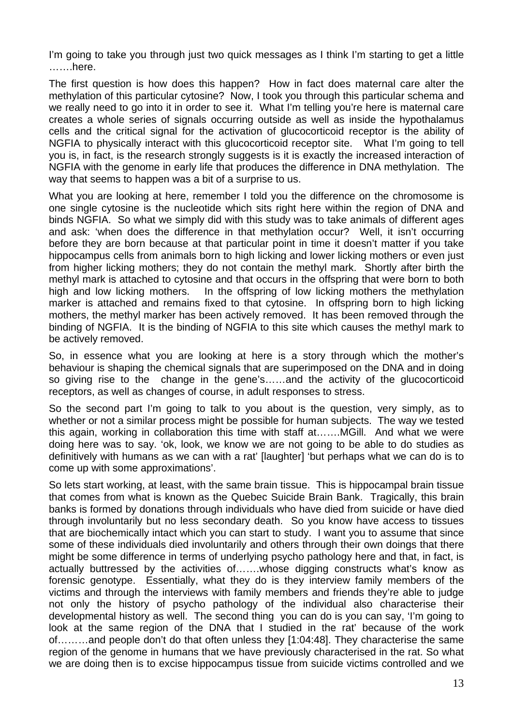I'm going to take you through just two quick messages as I think I'm starting to get a little …….here.

The first question is how does this happen? How in fact does maternal care alter the methylation of this particular cytosine? Now, I took you through this particular schema and we really need to go into it in order to see it. What I'm telling you're here is maternal care creates a whole series of signals occurring outside as well as inside the hypothalamus cells and the critical signal for the activation of glucocorticoid receptor is the ability of NGFIA to physically interact with this glucocorticoid receptor site. What I'm going to tell you is, in fact, is the research strongly suggests is it is exactly the increased interaction of NGFIA with the genome in early life that produces the difference in DNA methylation. The way that seems to happen was a bit of a surprise to us.

What you are looking at here, remember I told you the difference on the chromosome is one single cytosine is the nucleotide which sits right here within the region of DNA and binds NGFIA. So what we simply did with this study was to take animals of different ages and ask: 'when does the difference in that methylation occur? Well, it isn't occurring before they are born because at that particular point in time it doesn't matter if you take hippocampus cells from animals born to high licking and lower licking mothers or even just from higher licking mothers; they do not contain the methyl mark. Shortly after birth the methyl mark is attached to cytosine and that occurs in the offspring that were born to both high and low licking mothers. In the offspring of low licking mothers the methylation marker is attached and remains fixed to that cytosine. In offspring born to high licking mothers, the methyl marker has been actively removed. It has been removed through the binding of NGFIA. It is the binding of NGFIA to this site which causes the methyl mark to be actively removed.

So, in essence what you are looking at here is a story through which the mother's behaviour is shaping the chemical signals that are superimposed on the DNA and in doing so giving rise to the change in the gene's……and the activity of the glucocorticoid receptors, as well as changes of course, in adult responses to stress.

So the second part I'm going to talk to you about is the question, very simply, as to whether or not a similar process might be possible for human subjects. The way we tested this again, working in collaboration this time with staff at…….MGill. And what we were doing here was to say. 'ok, look, we know we are not going to be able to do studies as definitively with humans as we can with a rat' [laughter] 'but perhaps what we can do is to come up with some approximations'.

So lets start working, at least, with the same brain tissue. This is hippocampal brain tissue that comes from what is known as the Quebec Suicide Brain Bank. Tragically, this brain banks is formed by donations through individuals who have died from suicide or have died through involuntarily but no less secondary death. So you know have access to tissues that are biochemically intact which you can start to study. I want you to assume that since some of these individuals died involuntarily and others through their own doings that there might be some difference in terms of underlying psycho pathology here and that, in fact, is actually buttressed by the activities of…….whose digging constructs what's know as forensic genotype. Essentially, what they do is they interview family members of the victims and through the interviews with family members and friends they're able to judge not only the history of psycho pathology of the individual also characterise their developmental history as well. The second thing you can do is you can say, 'I'm going to look at the same region of the DNA that I studied in the rat' because of the work of………and people don't do that often unless they [1:04:48]. They characterise the same region of the genome in humans that we have previously characterised in the rat. So what we are doing then is to excise hippocampus tissue from suicide victims controlled and we